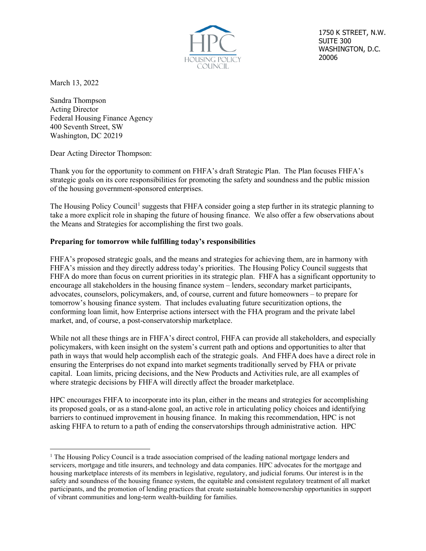

1750 K STREET, N.W. SUITE 300 WASHINGTON, D.C. 20006

March 13, 2022

Sandra Thompson Acting Director Federal Housing Finance Agency 400 Seventh Street, SW Washington, DC 20219

Dear Acting Director Thompson:

Thank you for the opportunity to comment on FHFA's draft Strategic Plan. The Plan focuses FHFA's strategic goals on its core responsibilities for promoting the safety and soundness and the public mission of the housing government-sponsored enterprises.

The Housing Policy Council<sup>[1](#page-0-0)</sup> suggests that FHFA consider going a step further in its strategic planning to take a more explicit role in shaping the future of housing finance. We also offer a few observations about the Means and Strategies for accomplishing the first two goals.

## **Preparing for tomorrow while fulfilling today's responsibilities**

FHFA's proposed strategic goals, and the means and strategies for achieving them, are in harmony with FHFA's mission and they directly address today's priorities. The Housing Policy Council suggests that FHFA do more than focus on current priorities in its strategic plan. FHFA has a significant opportunity to encourage all stakeholders in the housing finance system – lenders, secondary market participants, advocates, counselors, policymakers, and, of course, current and future homeowners – to prepare for tomorrow's housing finance system. That includes evaluating future securitization options, the conforming loan limit, how Enterprise actions intersect with the FHA program and the private label market, and, of course, a post-conservatorship marketplace.

While not all these things are in FHFA's direct control, FHFA can provide all stakeholders, and especially policymakers, with keen insight on the system's current path and options and opportunities to alter that path in ways that would help accomplish each of the strategic goals. And FHFA does have a direct role in ensuring the Enterprises do not expand into market segments traditionally served by FHA or private capital. Loan limits, pricing decisions, and the New Products and Activities rule, are all examples of where strategic decisions by FHFA will directly affect the broader marketplace.

HPC encourages FHFA to incorporate into its plan, either in the means and strategies for accomplishing its proposed goals, or as a stand-alone goal, an active role in articulating policy choices and identifying barriers to continued improvement in housing finance. In making this recommendation, HPC is not asking FHFA to return to a path of ending the conservatorships through administrative action. HPC

<span id="page-0-0"></span><sup>&</sup>lt;sup>1</sup> The Housing Policy Council is a trade association comprised of the leading national mortgage lenders and servicers, mortgage and title insurers, and technology and data companies. HPC advocates for the mortgage and housing marketplace interests of its members in legislative, regulatory, and judicial forums. Our interest is in the safety and soundness of the housing finance system, the equitable and consistent regulatory treatment of all market participants, and the promotion of lending practices that create sustainable homeownership opportunities in support of vibrant communities and long-term wealth-building for families.